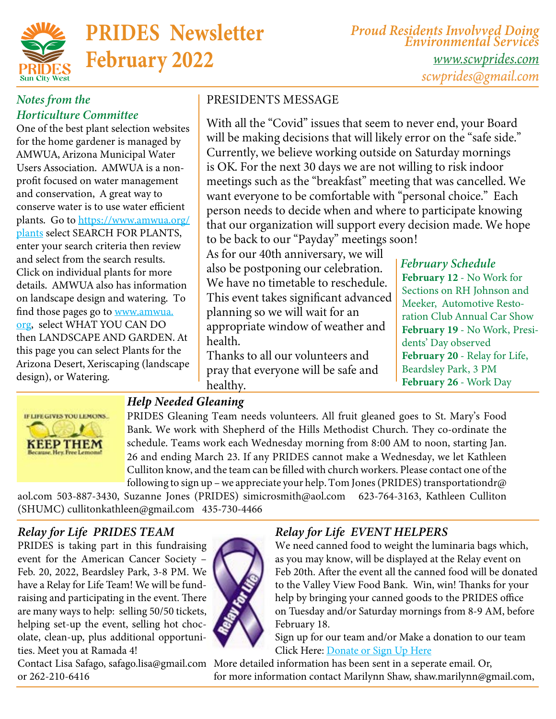

*Proud Residents Involvved Doing Environmental Services [www.scwprides.com](https://scwprides.com/) [scwprides@gmail.com](mailto:scwprides@gmail.com)*

### *Notes from the Horticulture Committee*

One of the best plant selection websites for the home gardener is managed by AMWUA, Arizona Municipal Water Users Association. AMWUA is a nonprofit focused on water management and conservation, A great way to conserve water is to use water efficient plants. Go to [https://www.amwua.org/](https://www.amwua.org/plants) [plants](https://www.amwua.org/plants) select SEARCH FOR PLANTS, enter your search criteria then review and select from the search results. Click on individual plants for more details. AMWUA also has information on landscape design and watering. To find those pages go to <u>www.amwua.</u> [org](http://www.amwua.org), select WHAT YOU CAN DO then LANDSCAPE AND GARDEN. At this page you can select Plants for the Arizona Desert, Xeriscaping (landscape design), or Watering.

### PRESIDENTS MESSAGE

With all the "Covid" issues that seem to never end, your Board will be making decisions that will likely error on the "safe side." Currently, we believe working outside on Saturday mornings is OK. For the next 30 days we are not willing to risk indoor meetings such as the "breakfast" meeting that was cancelled. We want everyone to be comfortable with "personal choice." Each person needs to decide when and where to participate knowing that our organization will support every decision made. We hope to be back to our "Payday" meetings soon!

As for our 40th anniversary, we will also be postponing our celebration. We have no timetable to reschedule. This event takes significant advanced planning so we will wait for an appropriate window of weather and health.

Thanks to all our volunteers and pray that everyone will be safe and healthy.

### *February Schedule* February 12 - No Work for Sections on RH Johnson and Meeker, Automotive Restoration Club Annual Car Show February 19 - No Work, Presidents' Day observed February 20 - Relay for Life, Beardsley Park, 3 PM February 26 - Work Day



### *Help Needed Gleaning*

PRIDES Gleaning Team needs volunteers. All fruit gleaned goes to St. Mary's Food Bank. We work with Shepherd of the Hills Methodist Church. They co-ordinate the schedule. Teams work each Wednesday morning from 8:00 AM to noon, starting Jan. 26 and ending March 23. If any PRIDES cannot make a Wednesday, we let Kathleen Culliton know, and the team can be filled with church workers. Please contact one of the following to sign up – we appreciate your help. Tom Jones (PRIDES) [transportationdr@](mailto:transportationdr@aol.com)

[aol.com](mailto:transportationdr@aol.com) 503-887-3430, Suzanne Jones (PRIDES) [simicrosmith@aol.com](mailto:simicrosmith@aol.com) 623-764-3163, Kathleen Culliton (SHUMC) [cullitonkathleen@gmail.com](mailto:cullitonkathleen@gmail.com) 435-730-4466

### *Relay for Life PRIDES TEAM*

PRIDES is taking part in this fundraising event for the American Cancer Society – Feb. 20, 2022, Beardsley Park, 3-8 PM. We have a Relay for Life Team! We will be fundraising and participating in the event. There are many ways to help: selling 50/50 tickets, helping set-up the event, selling hot chocolate, clean-up, plus additional opportunities. Meet you at Ramada 4!



or 262-210-6416

### *Relay for Life EVENT HELPERS*

We need canned food to weight the luminaria bags which, as you may know, will be displayed at the Relay event on Feb 20th. After the event all the canned food will be donated to the Valley View Food Bank. Win, win! Thanks for your help by bringing your canned goods to the PRIDES office on Tuesday and/or Saturday mornings from 8-9 AM, before February 18.

Sign up for our team and/or Make a donation to our team Click Here: [Donate or Sign Up Here]( https://secure.acsevents.org/site/STR/RelayForLife/RFLCY22SOR?team_id=2584482&pg=team&fr_id=101377
)

Contact Lisa Safago, [safago.lisa@gmail.com](mailto:safago.lisa@gmail.com)  More detailed information has been sent in a seperate email. Or, for more information contact Marilynn Shaw, [shaw.marilynn@gmail.com,](mailto:shaw.marilynn@gmail.com)